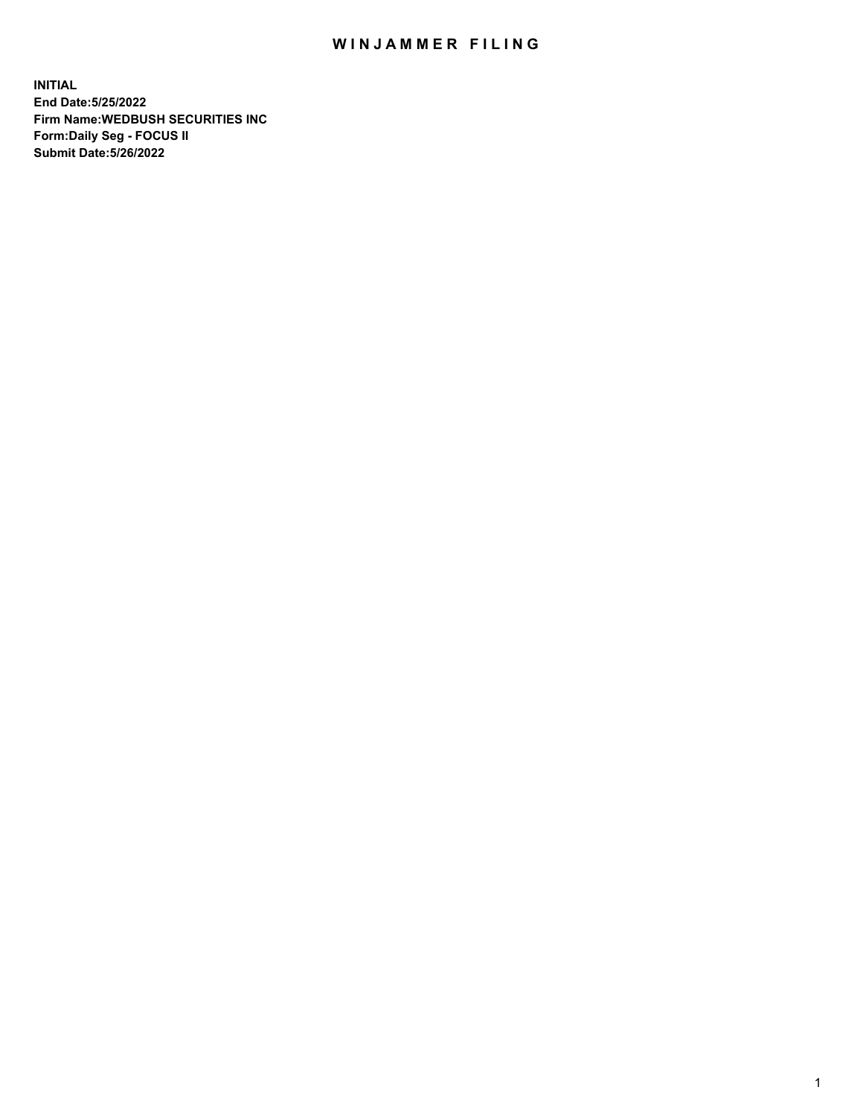## WIN JAMMER FILING

**INITIAL End Date:5/25/2022 Firm Name:WEDBUSH SECURITIES INC Form:Daily Seg - FOCUS II Submit Date:5/26/2022**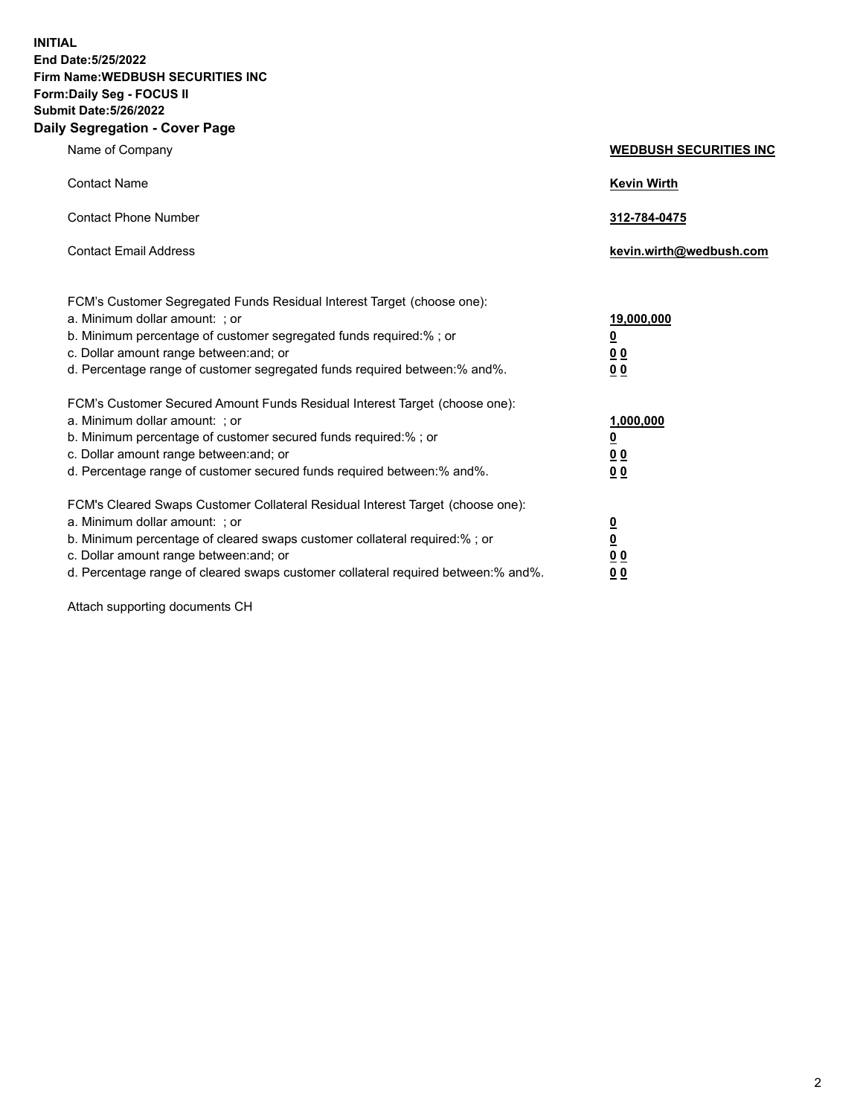**INITIAL End Date:5/25/2022 Firm Name:WEDBUSH SECURITIES INC Form:Daily Seg - FOCUS II Submit Date:5/26/2022 Daily Segregation - Cover Page**

| Name of Company                                                                                                                                                                                                                                                                                                                                                                     | <b>WEDBUSH SECURITIES INC</b>                                                              |
|-------------------------------------------------------------------------------------------------------------------------------------------------------------------------------------------------------------------------------------------------------------------------------------------------------------------------------------------------------------------------------------|--------------------------------------------------------------------------------------------|
| <b>Contact Name</b>                                                                                                                                                                                                                                                                                                                                                                 | <b>Kevin Wirth</b>                                                                         |
| <b>Contact Phone Number</b>                                                                                                                                                                                                                                                                                                                                                         | 312-784-0475                                                                               |
| <b>Contact Email Address</b>                                                                                                                                                                                                                                                                                                                                                        | kevin.wirth@wedbush.com                                                                    |
| FCM's Customer Segregated Funds Residual Interest Target (choose one):<br>a. Minimum dollar amount: ; or<br>b. Minimum percentage of customer segregated funds required:%; or<br>c. Dollar amount range between: and; or                                                                                                                                                            | 19,000,000<br>$\overline{\mathbf{0}}$<br>00                                                |
| d. Percentage range of customer segregated funds required between:% and%.<br>FCM's Customer Secured Amount Funds Residual Interest Target (choose one):<br>a. Minimum dollar amount: ; or<br>b. Minimum percentage of customer secured funds required:% ; or<br>c. Dollar amount range between: and; or<br>d. Percentage range of customer secured funds required between: % and %. | 0 <sub>0</sub><br>1,000,000<br>$\overline{\mathbf{0}}$<br>0 <sub>0</sub><br>0 <sub>0</sub> |
| FCM's Cleared Swaps Customer Collateral Residual Interest Target (choose one):<br>a. Minimum dollar amount: ; or<br>b. Minimum percentage of cleared swaps customer collateral required:%; or<br>c. Dollar amount range between: and; or                                                                                                                                            | $\frac{\frac{0}{0}}{\frac{0}{0}}$                                                          |

d. Percentage range of cleared swaps customer collateral required between:% and%. **0 0**

Attach supporting documents CH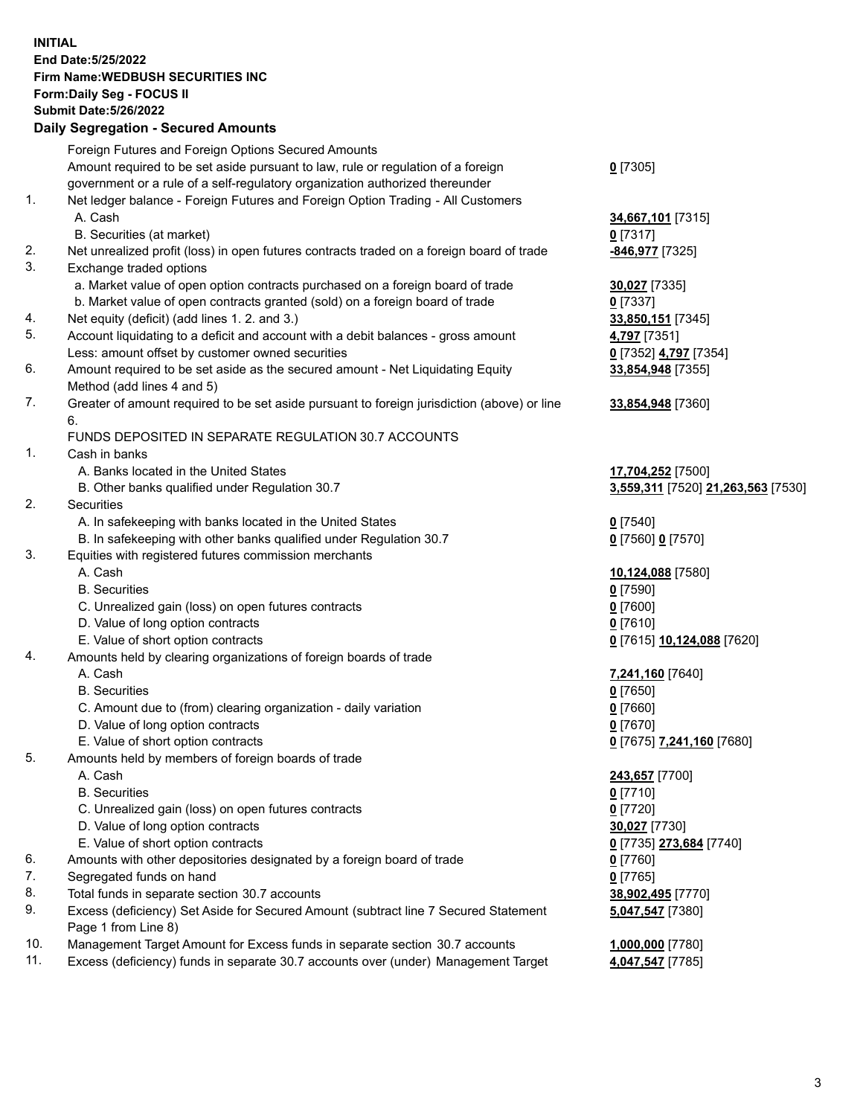**INITIAL End Date:5/25/2022 Firm Name:WEDBUSH SECURITIES INC Form:Daily Seg - FOCUS II Submit Date:5/26/2022 Daily Segregation - Secured Amounts**

|          | Dany Ocgregation - Occurea Anioants                                                                                                  |                                    |
|----------|--------------------------------------------------------------------------------------------------------------------------------------|------------------------------------|
|          | Foreign Futures and Foreign Options Secured Amounts                                                                                  |                                    |
|          | Amount required to be set aside pursuant to law, rule or regulation of a foreign                                                     | $0$ [7305]                         |
|          | government or a rule of a self-regulatory organization authorized thereunder                                                         |                                    |
| 1.       | Net ledger balance - Foreign Futures and Foreign Option Trading - All Customers                                                      |                                    |
|          | A. Cash                                                                                                                              | 34,667,101 [7315]                  |
|          | B. Securities (at market)                                                                                                            | $0$ [7317]                         |
| 2.       | Net unrealized profit (loss) in open futures contracts traded on a foreign board of trade                                            | -846,977 [7325]                    |
| 3.       | Exchange traded options                                                                                                              |                                    |
|          | a. Market value of open option contracts purchased on a foreign board of trade                                                       | 30,027 [7335]                      |
|          | b. Market value of open contracts granted (sold) on a foreign board of trade                                                         | $0$ [7337]                         |
| 4.       | Net equity (deficit) (add lines 1. 2. and 3.)                                                                                        | 33,850,151 [7345]                  |
| 5.       | Account liquidating to a deficit and account with a debit balances - gross amount                                                    | 4,797 [7351]                       |
| 6.       | Less: amount offset by customer owned securities                                                                                     | 0 [7352] 4,797 [7354]              |
|          | Amount required to be set aside as the secured amount - Net Liquidating Equity<br>Method (add lines 4 and 5)                         | 33,854,948 [7355]                  |
| 7.       | Greater of amount required to be set aside pursuant to foreign jurisdiction (above) or line                                          | 33,854,948 [7360]                  |
|          | 6.                                                                                                                                   |                                    |
|          | FUNDS DEPOSITED IN SEPARATE REGULATION 30.7 ACCOUNTS                                                                                 |                                    |
| 1.       | Cash in banks                                                                                                                        |                                    |
|          | A. Banks located in the United States                                                                                                | 17,704,252 [7500]                  |
|          | B. Other banks qualified under Regulation 30.7                                                                                       | 3,559,311 [7520] 21,263,563 [7530] |
| 2.       | <b>Securities</b>                                                                                                                    |                                    |
|          | A. In safekeeping with banks located in the United States                                                                            | $0$ [7540]                         |
|          | B. In safekeeping with other banks qualified under Regulation 30.7                                                                   | 0 [7560] 0 [7570]                  |
| 3.       | Equities with registered futures commission merchants                                                                                |                                    |
|          | A. Cash                                                                                                                              | 10,124,088 [7580]                  |
|          | <b>B.</b> Securities                                                                                                                 | $0$ [7590]                         |
|          | C. Unrealized gain (loss) on open futures contracts                                                                                  | $0$ [7600]                         |
|          | D. Value of long option contracts                                                                                                    | $0$ [7610]                         |
|          | E. Value of short option contracts                                                                                                   | 0 [7615] 10,124,088 [7620]         |
| 4.       | Amounts held by clearing organizations of foreign boards of trade                                                                    |                                    |
|          | A. Cash                                                                                                                              | 7,241,160 [7640]                   |
|          | <b>B.</b> Securities                                                                                                                 | $0$ [7650]                         |
|          | C. Amount due to (from) clearing organization - daily variation                                                                      | $0$ [7660]                         |
|          | D. Value of long option contracts                                                                                                    | $0$ [7670]                         |
|          | E. Value of short option contracts                                                                                                   | 0 [7675] 7,241,160 [7680]          |
| 5.       | Amounts held by members of foreign boards of trade                                                                                   |                                    |
|          | A. Cash                                                                                                                              | 243,657 [7700]                     |
|          | <b>B.</b> Securities                                                                                                                 | $0$ [7710]                         |
|          | C. Unrealized gain (loss) on open futures contracts                                                                                  | $0$ [7720]                         |
|          | D. Value of long option contracts                                                                                                    | 30,027 [7730]                      |
|          | E. Value of short option contracts                                                                                                   | 0 [7735] 273,684 [7740]            |
| 6.       | Amounts with other depositories designated by a foreign board of trade                                                               | $0$ [7760]                         |
| 7.       | Segregated funds on hand                                                                                                             | $0$ [7765]                         |
| 8.<br>9. | Total funds in separate section 30.7 accounts<br>Excess (deficiency) Set Aside for Secured Amount (subtract line 7 Secured Statement | 38,902,495 [7770]                  |
|          | Page 1 from Line 8)                                                                                                                  | 5,047,547 [7380]                   |
| 10.      | Management Target Amount for Excess funds in separate section 30.7 accounts                                                          | 1,000,000 [7780]                   |
| 11.      | Excess (deficiency) funds in separate 30.7 accounts over (under) Management Target                                                   | 4,047,547 [7785]                   |
|          |                                                                                                                                      |                                    |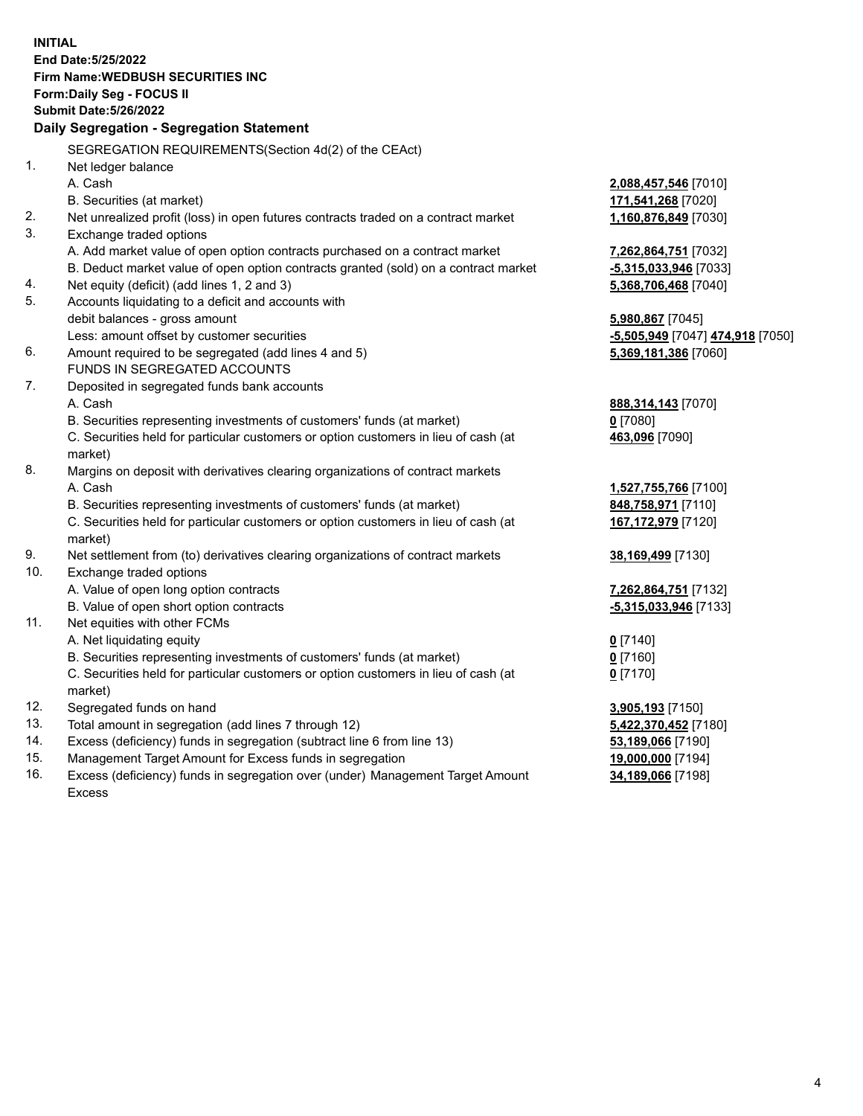|     | <b>INITIAL</b><br>End Date: 5/25/2022<br><b>Firm Name: WEDBUSH SECURITIES INC</b>              |                                  |
|-----|------------------------------------------------------------------------------------------------|----------------------------------|
|     | Form: Daily Seg - FOCUS II                                                                     |                                  |
|     | <b>Submit Date: 5/26/2022</b>                                                                  |                                  |
|     | Daily Segregation - Segregation Statement                                                      |                                  |
|     | SEGREGATION REQUIREMENTS(Section 4d(2) of the CEAct)                                           |                                  |
| 1.  | Net ledger balance                                                                             |                                  |
|     | A. Cash                                                                                        | 2,088,457,546 [7010]             |
|     | B. Securities (at market)                                                                      | 171,541,268 [7020]               |
| 2.  | Net unrealized profit (loss) in open futures contracts traded on a contract market             | 1,160,876,849 [7030]             |
| 3.  | Exchange traded options                                                                        |                                  |
|     | A. Add market value of open option contracts purchased on a contract market                    | 7,262,864,751 [7032]             |
|     | B. Deduct market value of open option contracts granted (sold) on a contract market            | -5,315,033,946 [7033]            |
| 4.  | Net equity (deficit) (add lines 1, 2 and 3)                                                    | 5,368,706,468 [7040]             |
| 5.  | Accounts liquidating to a deficit and accounts with                                            |                                  |
|     | debit balances - gross amount                                                                  | 5,980,867 [7045]                 |
|     | Less: amount offset by customer securities                                                     | -5,505,949 [7047] 474,918 [7050] |
| 6.  | Amount required to be segregated (add lines 4 and 5)                                           | 5,369,181,386 [7060]             |
|     | FUNDS IN SEGREGATED ACCOUNTS                                                                   |                                  |
| 7.  | Deposited in segregated funds bank accounts                                                    |                                  |
|     | A. Cash<br>B. Securities representing investments of customers' funds (at market)              | 888, 314, 143 [7070]             |
|     | C. Securities held for particular customers or option customers in lieu of cash (at            | $0$ [7080]<br>463,096 [7090]     |
|     | market)                                                                                        |                                  |
| 8.  | Margins on deposit with derivatives clearing organizations of contract markets                 |                                  |
|     | A. Cash                                                                                        | 1,527,755,766 [7100]             |
|     | B. Securities representing investments of customers' funds (at market)                         | 848,758,971 [7110]               |
|     | C. Securities held for particular customers or option customers in lieu of cash (at<br>market) | 167,172,979 [7120]               |
| 9.  | Net settlement from (to) derivatives clearing organizations of contract markets                | 38,169,499 [7130]                |
| 10. | Exchange traded options                                                                        |                                  |
|     | A. Value of open long option contracts                                                         | 7,262,864,751 [7132]             |
|     | B. Value of open short option contracts                                                        | -5,315,033,946 [7133]            |
| 11. | Net equities with other FCMs                                                                   |                                  |
|     | A. Net liquidating equity                                                                      | $0$ [7140]                       |
|     | B. Securities representing investments of customers' funds (at market)                         | $0$ [7160]                       |
|     | C. Securities held for particular customers or option customers in lieu of cash (at            | $0$ [7170]                       |
|     | market)                                                                                        |                                  |
| 12. | Segregated funds on hand                                                                       | 3,905,193 [7150]                 |
| 13. | Total amount in segregation (add lines 7 through 12)                                           | 5,422,370,452 [7180]             |
| 14. | Excess (deficiency) funds in segregation (subtract line 6 from line 13)                        | 53,189,066 [7190]                |
| 15. | Management Target Amount for Excess funds in segregation                                       | 19,000,000 [7194]                |

16. Excess (deficiency) funds in segregation over (under) Management Target Amount Excess

**34,189,066** [7198]